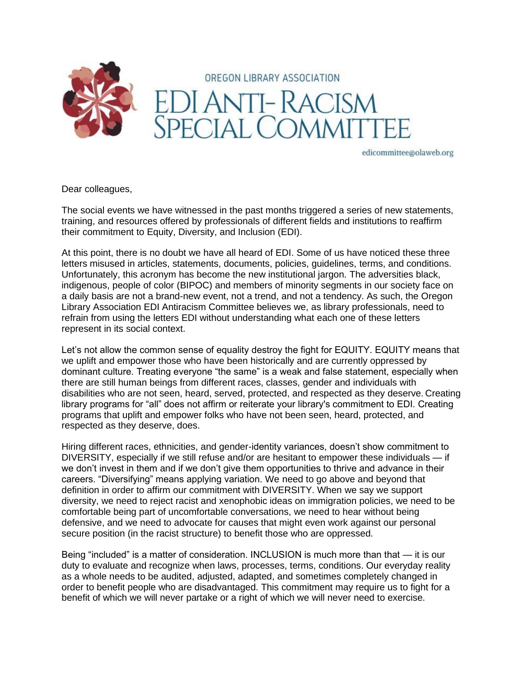

edicommittee@olaweb.org

Dear colleagues,

The social events we have witnessed in the past months triggered a series of new statements, training, and resources offered by professionals of different fields and institutions to reaffirm their commitment to Equity, Diversity, and Inclusion (EDI).

At this point, there is no doubt we have all heard of EDI. Some of us have noticed these three letters misused in articles, statements, documents, policies, guidelines, terms, and conditions. Unfortunately, this acronym has become the new institutional jargon. The adversities black, indigenous, people of color (BIPOC) and members of minority segments in our society face on a daily basis are not a brand-new event, not a trend, and not a tendency. As such, the Oregon Library Association EDI Antiracism Committee believes we, as library professionals, need to refrain from using the letters EDI without understanding what each one of these letters represent in its social context.

Let's not allow the common sense of equality destroy the fight for EQUITY. EQUITY means that we uplift and empower those who have been historically and are currently oppressed by dominant culture. Treating everyone "the same" is a weak and false statement, especially when there are still human beings from different races, classes, gender and individuals with disabilities who are not seen, heard, served, protected, and respected as they deserve. Creating library programs for "all" does not affirm or reiterate your library's commitment to EDI. Creating programs that uplift and empower folks who have not been seen, heard, protected, and respected as they deserve, does.

Hiring different races, ethnicities, and gender-identity variances, doesn't show commitment to DIVERSITY, especially if we still refuse and/or are hesitant to empower these individuals — if we don't invest in them and if we don't give them opportunities to thrive and advance in their careers. "Diversifying" means applying variation. We need to go above and beyond that definition in order to affirm our commitment with DIVERSITY. When we say we support diversity, we need to reject racist and xenophobic ideas on immigration policies, we need to be comfortable being part of uncomfortable conversations, we need to hear without being defensive, and we need to advocate for causes that might even work against our personal secure position (in the racist structure) to benefit those who are oppressed.

Being "included" is a matter of consideration. INCLUSION is much more than that — it is our duty to evaluate and recognize when laws, processes, terms, conditions. Our everyday reality as a whole needs to be audited, adjusted, adapted, and sometimes completely changed in order to benefit people who are disadvantaged. This commitment may require us to fight for a benefit of which we will never partake or a right of which we will never need to exercise.